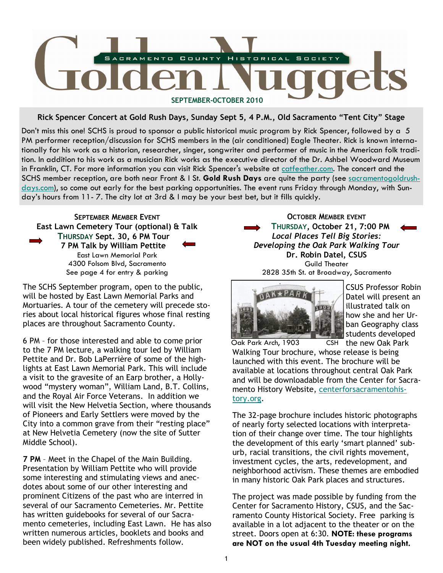

Rick Spencer Concert at Gold Rush Days, Sunday Sept 5, 4 P.M., Old Sacramento "Tent City" Stage

Don't miss this one! SCHS is proud to sponsor a public historical music program by Rick Spencer, followed by a 5 PM performer reception/discussion for SCHS members in the (air conditioned) Eagle Theater. Rick is known internationally for his work as a historian, researcher, singer, songwriter and performer of music in the American folk tradition. In addition to his work as a musician Rick works as the executive director of the Dr. Ashbel Woodward Museum in Franklin, CT. For more information you can visit Rick Spencer's website at catfeather.com. The concert and the SCHS member reception, are both near Front & I St. Gold Rush Days are quite the party (see sacramentogoldrushdays.com), so come out early for the best parking opportunities. The event runs Friday through Monday, with Sunday's hours from 11- 7. The city lot at 3rd & I may be your best bet, but it fills quickly.



The SCHS September program, open to the public, will be hosted by East Lawn Memorial Parks and Mortuaries. A tour of the cemetery will precede stories about local historical figures whose final resting places are throughout Sacramento County.

6 PM – for those interested and able to come prior to the 7 PM lecture, a walking tour led by William Pettite and Dr. Bob LaPerrière of some of the highlights at East Lawn Memorial Park. This will include a visit to the gravesite of an Earp brother, a Hollywood "mystery woman", William Land, B.T. Collins, and the Royal Air Force Veterans. In addition we will visit the New Helvetia Section, where thousands of Pioneers and Early Settlers were moved by the City into a common grave from their "resting place" at New Helvetia Cemetery (now the site of Sutter Middle School).

7 PM – Meet in the Chapel of the Main Building. Presentation by William Pettite who will provide some interesting and stimulating views and anecdotes about some of our other interesting and prominent Citizens of the past who are interred in several of our Sacramento Cemeteries. Mr. Pettite has written guidebooks for several of our Sacramento cemeteries, including East Lawn. He has also written numerous articles, booklets and books and been widely published. Refreshments follow.

OCTOBER MEMBER EVENT THURSDAY, October 21, 7:00 PM Local Places Tell Big Stories: Developing the Oak Park Walking Tour Dr. Robin Datel, CSUS Guild Theater 2828 35th St. at Broadway, Sacramento



CSUS Professor Robin Datel will present an illustrated talk on how she and her Urban Geography class students developed

CSH the new Oak Park Walking Tour brochure, whose release is being launched with this event. The brochure will be available at locations throughout central Oak Park and will be downloadable from the Center for Sacramento History Website, centerforsacramentohistory.org. Oak Park Arch, 1903

The 32-page brochure includes historic photographs of nearly forty selected locations with interpretation of their change over time. The tour highlights the development of this early 'smart planned' suburb, racial transitions, the civil rights movement, investment cycles, the arts, redevelopment, and neighborhood activism. These themes are embodied in many historic Oak Park places and structures.

The project was made possible by funding from the Center for Sacramento History, CSUS, and the Sacramento County Historical Society. Free parking is available in a lot adjacent to the theater or on the street. Doors open at 6:30. NOTE: these programs are NOT on the usual 4th Tuesday meeting night.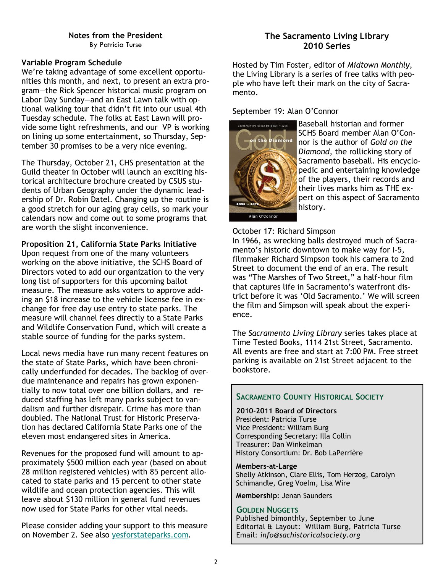#### Variable Program Schedule

We're taking advantage of some excellent opportunities this month, and next, to present an extra program—the Rick Spencer historical music program on Labor Day Sunday—and an East Lawn talk with optional walking tour that didn't fit into our usual 4th Tuesday schedule. The folks at East Lawn will provide some light refreshments, and our VP is working on lining up some entertainment, so Thursday, September 30 promises to be a very nice evening.

The Thursday, October 21, CHS presentation at the Guild theater in October will launch an exciting historical architecture brochure created by CSUS students of Urban Geography under the dynamic leadership of Dr. Robin Datel. Changing up the routine is a good stretch for our aging gray cells, so mark your calendars now and come out to some programs that are worth the slight inconvenience.

#### Proposition 21, California State Parks Initiative

Upon request from one of the many volunteers working on the above initiative, the SCHS Board of Directors voted to add our organization to the very long list of supporters for this upcoming ballot measure. The measure asks voters to approve adding an \$18 increase to the vehicle license fee in exchange for free day use entry to state parks. The measure will channel fees directly to a State Parks and Wildlife Conservation Fund, which will create a stable source of funding for the parks system.

Local news media have run many recent features on the state of State Parks, which have been chronically underfunded for decades. The backlog of overdue maintenance and repairs has grown exponentially to now total over one billion dollars, and reduced staffing has left many parks subject to vandalism and further disrepair. Crime has more than doubled. The National Trust for Historic Preservation has declared California State Parks one of the eleven most endangered sites in America.

Revenues for the proposed fund will amount to approximately \$500 million each year (based on about 28 million registered vehicles) with 85 percent allocated to state parks and 15 percent to other state wildlife and ocean protection agencies. This will leave about \$130 million in general fund revenues now used for State Parks for other vital needs.

Please consider adding your support to this measure on November 2. See also yesforstateparks.com.

## The Sacramento Living Library 2010 Series

Hosted by Tim Foster, editor of Midtown Monthly, the Living Library is a series of free talks with people who have left their mark on the city of Sacramento.

#### September 19: Alan O'Connor



Baseball historian and former SCHS Board member Alan O'Connor is the author of Gold on the Diamond, the rollicking story of Sacramento baseball. His encyclopedic and entertaining knowledge of the players, their records and their lives marks him as THE expert on this aspect of Sacramento history.

#### October 17: Richard Simpson

In 1966, as wrecking balls destroyed much of Sacramento's historic downtown to make way for I-5, filmmaker Richard Simpson took his camera to 2nd Street to document the end of an era. The result was "The Marshes of Two Street," a half-hour film that captures life in Sacramento's waterfront district before it was 'Old Sacramento.' We will screen the film and Simpson will speak about the experience.

The Sacramento Living Library series takes place at Time Tested Books, 1114 21st Street, Sacramento. All events are free and start at 7:00 PM. Free street parking is available on 21st Street adjacent to the bookstore.

# SACRAMENTO COUNTY HISTORICAL SOCIETY

2010-2011 Board of Directors President: Patricia Turse Vice President: William Burg Corresponding Secretary: Illa Collin Treasurer: Dan Winkelman History Consortium: Dr. Bob LaPerrière

Members-at-Large Shelly Atkinson, Clare Ellis, Tom Herzog, Carolyn Schimandle, Greg Voelm, Lisa Wire

Membership: Jenan Saunders

#### GOLDEN NUGGETS

Published bimonthly, September to June Editorial & Layout: William Burg, Patricia Turse Email: info@sachistoricalsociety.org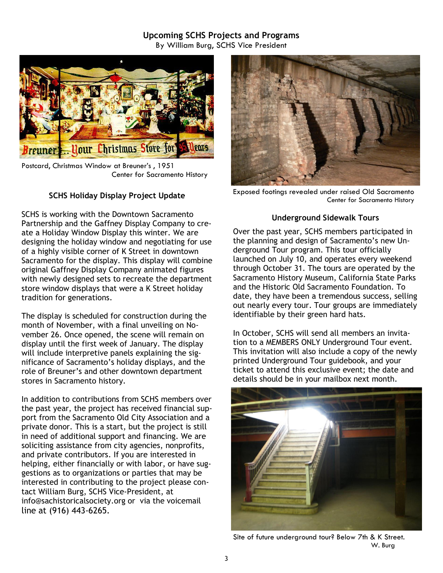# Upcoming SCHS Projects and Programs

By William Burg, SCHS Vice President



Postcard, Christmas Window at Breuner's , 1951 Center for Sacramento History

## SCHS Holiday Display Project Update

SCHS is working with the Downtown Sacramento Partnership and the Gaffney Display Company to create a Holiday Window Display this winter. We are designing the holiday window and negotiating for use of a highly visible corner of K Street in downtown Sacramento for the display. This display will combine original Gaffney Display Company animated figures with newly designed sets to recreate the department store window displays that were a K Street holiday tradition for generations.

The display is scheduled for construction during the month of November, with a final unveiling on November 26. Once opened, the scene will remain on display until the first week of January. The display will include interpretive panels explaining the significance of Sacramento's holiday displays, and the role of Breuner's and other downtown department stores in Sacramento history.

In addition to contributions from SCHS members over the past year, the project has received financial support from the Sacramento Old City Association and a private donor. This is a start, but the project is still in need of additional support and financing. We are soliciting assistance from city agencies, nonprofits, and private contributors. If you are interested in helping, either financially or with labor, or have suggestions as to organizations or parties that may be interested in contributing to the project please contact William Burg, SCHS Vice-President, at info@sachistoricalsociety.org or via the voicemail line at (916) 443-6265.



Exposed footings revealed under raised Old Sacramento Center for Sacramento History

#### Underground Sidewalk Tours

Over the past year, SCHS members participated in the planning and design of Sacramento's new Underground Tour program. This tour officially launched on July 10, and operates every weekend through October 31. The tours are operated by the Sacramento History Museum, California State Parks and the Historic Old Sacramento Foundation. To date, they have been a tremendous success, selling out nearly every tour. Tour groups are immediately identifiable by their green hard hats.

In October, SCHS will send all members an invitation to a MEMBERS ONLY Underground Tour event. This invitation will also include a copy of the newly printed Underground Tour guidebook, and your ticket to attend this exclusive event; the date and details should be in your mailbox next month.



Site of future underground tour? Below 7th & K Street. W. Burg